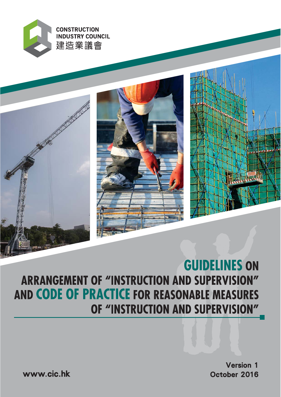







# **GUIDELINES ON ARRANGEMENT OF "INSTRUCTION AND SUPERVISION"** AND CODE OF PRACTICE FOR REASONABLE MEASURES OF "INSTRUCTION AND SUPERVISION"

**Version 1** October 2016

www.cic.hk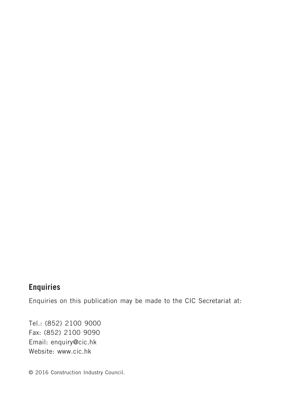### **Enquiries**

Enquiries on this publication may be made to the CIC Secretariat at:

Tel.: (852) 2100 9000 Fax: (852) 2100 9090 Email: enquiry@cic.hk Website: www.cic.hk

© 2016 Construction Industry Council.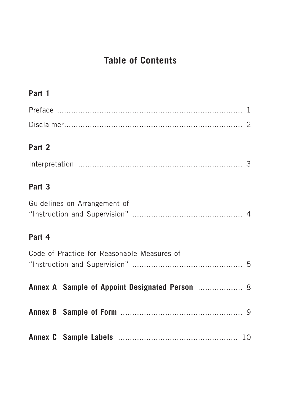# **Table of Contents**

### **Part 1**

### **Part 2**

|--|--|--|

### **Part 3**

| Guidelines on Arrangement of |  |
|------------------------------|--|
|                              |  |

### **Part 4**

| Code of Practice for Reasonable Measures of    |  |
|------------------------------------------------|--|
| Annex A Sample of Appoint Designated Person  8 |  |
|                                                |  |
|                                                |  |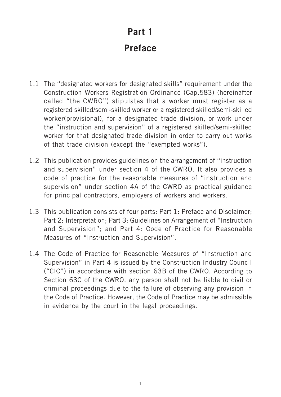# **Part 1 Preface**

- 1.1 The "designated workers for designated skills" requirement under the Construction Workers Registration Ordinance (Cap.583) (hereinafter called "the CWRO") stipulates that a worker must register as a registered skilled/semi-skilled worker or a registered skilled/semi-skilled worker(provisional), for a designated trade division, or work under the "instruction and supervision" of a registered skilled/semi-skilled worker for that designated trade division in order to carry out works of that trade division (except the "exempted works").
- 1.2 This publication provides guidelines on the arrangement of "instruction and supervision" under section 4 of the CWRO. It also provides a code of practice for the reasonable measures of "instruction and supervision" under section 4A of the CWRO as practical guidance for principal contractors, employers of workers and workers.
- 1.3 This publication consists of four parts: Part 1: Preface and Disclaimer; Part 2: Interpretation; Part 3: Guidelines on Arrangement of "Instruction and Supervision"; and Part 4: Code of Practice for Reasonable Measures of "Instruction and Supervision".
- 1.4 The Code of Practice for Reasonable Measures of "Instruction and Supervision" in Part 4 is issued by the Construction Industry Council ("CIC") in accordance with section 63B of the CWRO. According to Section 63C of the CWRO, any person shall not be liable to civil or criminal proceedings due to the failure of observing any provision in the Code of Practice. However, the Code of Practice may be admissible in evidence by the court in the legal proceedings.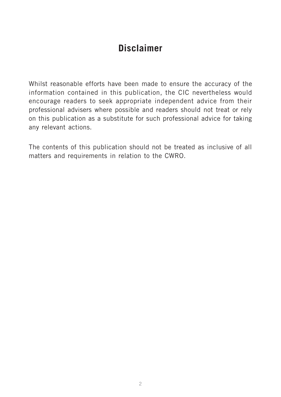### **Disclaimer**

Whilst reasonable efforts have been made to ensure the accuracy of the information contained in this publication, the CIC nevertheless would encourage readers to seek appropriate independent advice from their professional advisers where possible and readers should not treat or rely on this publication as a substitute for such professional advice for taking any relevant actions.

The contents of this publication should not be treated as inclusive of all matters and requirements in relation to the CWRO.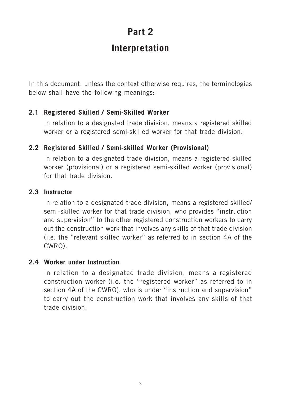### **Part 2**

### **Interpretation**

In this document, unless the context otherwise requires, the terminologies below shall have the following meanings:-

### **2.1 Registered Skilled / Semi-Skilled Worker**

In relation to a designated trade division, means a registered skilled worker or a registered semi-skilled worker for that trade division.

#### **2.2 Registered Skilled / Semi-skilled Worker (Provisional)**

In relation to a designated trade division, means a registered skilled worker (provisional) or a registered semi-skilled worker (provisional) for that trade division.

#### **2.3 Instructor**

In relation to a designated trade division, means a registered skilled/ semi-skilled worker for that trade division, who provides "instruction and supervision" to the other registered construction workers to carry out the construction work that involves any skills of that trade division (i.e. the "relevant skilled worker" as referred to in section 4A of the CWRO).

#### **2.4 Worker under Instruction**

In relation to a designated trade division, means a registered construction worker (i.e. the "registered worker" as referred to in section 4A of the CWRO), who is under "instruction and supervision" to carry out the construction work that involves any skills of that trade division.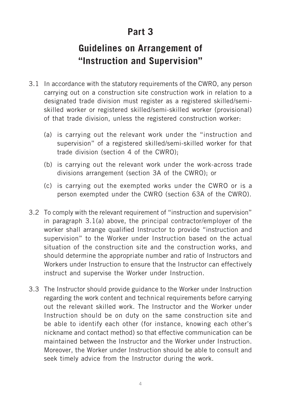### **Part 3**

# **Guidelines on Arrangement of "Instruction and Supervision"**

- 3.1 In accordance with the statutory requirements of the CWRO, any person carrying out on a construction site construction work in relation to a designated trade division must register as a registered skilled/semiskilled worker or registered skilled/semi-skilled worker (provisional) of that trade division, unless the registered construction worker:
	- (a) is carrying out the relevant work under the "instruction and supervision" of a registered skilled/semi-skilled worker for that trade division (section 4 of the CWRO);
	- (b) is carrying out the relevant work under the work-across trade divisions arrangement (section 3A of the CWRO); or
	- (c) is carrying out the exempted works under the CWRO or is a person exempted under the CWRO (section 63A of the CWRO).
- 3.2 To comply with the relevant requirement of "instruction and supervision" in paragraph 3.1(a) above, the principal contractor/employer of the worker shall arrange qualified Instructor to provide "instruction and supervision" to the Worker under Instruction based on the actual situation of the construction site and the construction works, and should determine the appropriate number and ratio of Instructors and Workers under Instruction to ensure that the Instructor can effectively instruct and supervise the Worker under Instruction.
- 3.3 The Instructor should provide guidance to the Worker under Instruction regarding the work content and technical requirements before carrying out the relevant skilled work. The Instructor and the Worker under Instruction should be on duty on the same construction site and be able to identify each other (for instance, knowing each other's nickname and contact method) so that effective communication can be maintained between the Instructor and the Worker under Instruction. Moreover, the Worker under Instruction should be able to consult and seek timely advice from the Instructor during the work.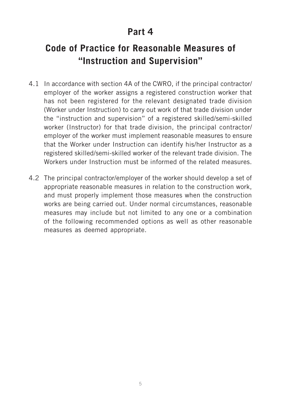### **Part 4**

# **Code of Practice for Reasonable Measures of "Instruction and Supervision"**

- 4.1 In accordance with section 4A of the CWRO, if the principal contractor/ employer of the worker assigns a registered construction worker that has not been registered for the relevant designated trade division (Worker under Instruction) to carry out work of that trade division under the "instruction and supervision" of a registered skilled/semi-skilled worker (Instructor) for that trade division, the principal contractor/ employer of the worker must implement reasonable measures to ensure that the Worker under Instruction can identify his/her Instructor as a registered skilled/semi-skilled worker of the relevant trade division. The Workers under Instruction must be informed of the related measures.
- 4.2 The principal contractor/employer of the worker should develop a set of appropriate reasonable measures in relation to the construction work, and must properly implement those measures when the construction works are being carried out. Under normal circumstances, reasonable measures may include but not limited to any one or a combination of the following recommended options as well as other reasonable measures as deemed appropriate.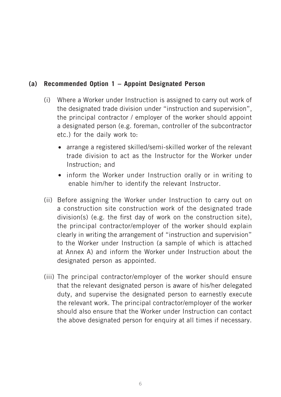### **(a) Recommended Option 1 – Appoint Designated Person**

- (i) Where a Worker under Instruction is assigned to carry out work of the designated trade division under "instruction and supervision", the principal contractor / employer of the worker should appoint a designated person (e.g. foreman, controller of the subcontractor etc.) for the daily work to:
	- arrange a registered skilled/semi-skilled worker of the relevant trade division to act as the Instructor for the Worker under Instruction; and
	- inform the Worker under Instruction orally or in writing to enable him/her to identify the relevant Instructor.
- (ii) Before assigning the Worker under Instruction to carry out on a construction site construction work of the designated trade division(s) (e.g. the first day of work on the construction site), the principal contractor/employer of the worker should explain clearly in writing the arrangement of "instruction and supervision" to the Worker under Instruction (a sample of which is attached at Annex A) and inform the Worker under Instruction about the designated person as appointed.
- (iii) The principal contractor/employer of the worker should ensure that the relevant designated person is aware of his/her delegated duty, and supervise the designated person to earnestly execute the relevant work. The principal contractor/employer of the worker should also ensure that the Worker under Instruction can contact the above designated person for enquiry at all times if necessary.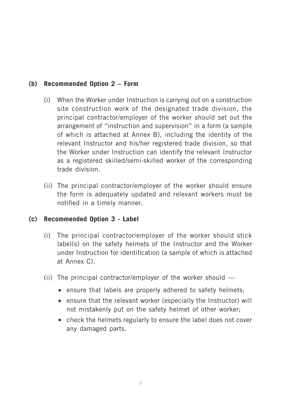### **(b) Recommended Option 2 – Form**

- (i) When the Worker under Instruction is carrying out on a construction site construction work of the designated trade division, the principal contractor/employer of the worker should set out the arrangement of "instruction and supervision" in a form (a sample of which is attached at Annex B), including the identity of the relevant Instructor and his/her registered trade division, so that the Worker under Instruction can identify the relevant Instructor as a registered skilled/semi-skilled worker of the corresponding trade division.
- (ii) The principal contractor/employer of the worker should ensure the form is adequately updated and relevant workers must be notified in a timely manner.

#### **(c) Recommended Option 3 - Label**

- (i) The principal contractor/employer of the worker should stick label(s) on the safety helmets of the Instructor and the Worker under Instruction for identification (a sample of which is attached at Annex C).
- (ii) The principal contractor/employer of the worker should
	- ensure that labels are properly adhered to safety helmets;
	- ensure that the relevant worker (especially the Instructor) will not mistakenly put on the safety helmet of other worker;
	- check the helmets regularly to ensure the label does not cover any damaged parts.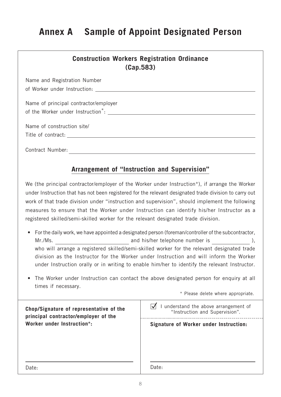## **Annex A Sample of Appoint Designated Person**

| <b>Construction Workers Registration Ordinance</b><br>(Cap.583) |  |  |
|-----------------------------------------------------------------|--|--|
| Name and Registration Number                                    |  |  |
|                                                                 |  |  |
| Name of principal contractor/employer                           |  |  |
| of the Worker under Instruction <sup>*</sup> :                  |  |  |
| Name of construction site/                                      |  |  |
| Title of contract: Title of contract:                           |  |  |
| Contract Number:                                                |  |  |
| Arrangement of "Instruction and Supervision"                    |  |  |

We (the principal contractor/employer of the Worker under Instruction\*), if arrange the Worker under Instruction that has not been registered for the relevant designated trade division to carry out work of that trade division under "instruction and supervision", should implement the following measures to ensure that the Worker under Instruction can identify his/her Instructor as a registered skilled/semi-skilled worker for the relevant designated trade division.

- For the daily work, we have appointed a designated person (foreman/controller of the subcontractor, Mr./Ms. **and his/her telephone number is** ), who will arrange a registered skilled/semi-skilled worker for the relevant designated trade division as the Instructor for the Worker under Instruction and will inform the Worker under Instruction orally or in writing to enable him/her to identify the relevant Instructor.
- The Worker under Instruction can contact the above designated person for enquiry at all times if necessary.

\* Please delete where appropriate.

| Chop/Signature of representative of the<br>principal contractor/employer of the | I understand the above arrangement of<br>"Instruction and Supervision". |
|---------------------------------------------------------------------------------|-------------------------------------------------------------------------|
| Worker under Instruction*:                                                      | Signature of Worker under Instruction:                                  |
|                                                                                 |                                                                         |
| Date:                                                                           | Date:                                                                   |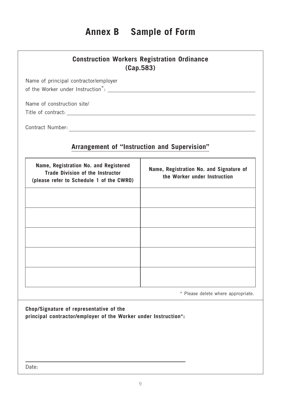## **Annex B Sample of Form**

| <b>Construction Workers Registration Ordinance</b><br>(Cap.583)                                                              |                                                                         |  |
|------------------------------------------------------------------------------------------------------------------------------|-------------------------------------------------------------------------|--|
| Name of principal contractor/employer                                                                                        |                                                                         |  |
| Name of construction site/                                                                                                   |                                                                         |  |
|                                                                                                                              |                                                                         |  |
|                                                                                                                              |                                                                         |  |
| Arrangement of "Instruction and Supervision"                                                                                 |                                                                         |  |
| Name, Registration No. and Registered<br><b>Trade Division of the Instructor</b><br>(please refer to Schedule 1 of the CWRO) | Name, Registration No. and Signature of<br>the Worker under Instruction |  |
|                                                                                                                              |                                                                         |  |
|                                                                                                                              |                                                                         |  |
|                                                                                                                              |                                                                         |  |
|                                                                                                                              |                                                                         |  |
|                                                                                                                              |                                                                         |  |
|                                                                                                                              |                                                                         |  |
|                                                                                                                              |                                                                         |  |
|                                                                                                                              |                                                                         |  |
|                                                                                                                              | * Please delete where appropriate.                                      |  |

**Chop/Signature of representative of the principal contractor/employer of the Worker under Instruction\*:** 

Date: